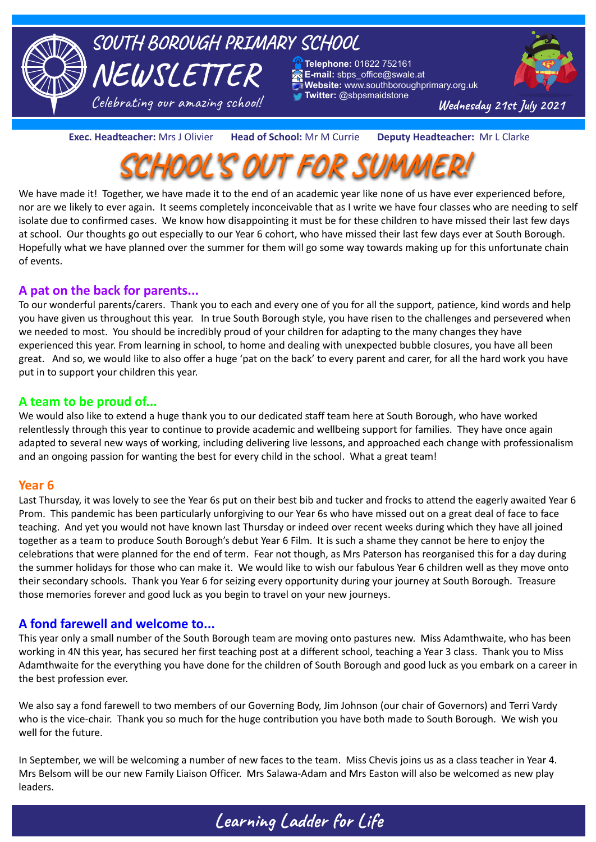

#### **Exec. Headteacher:** Mrs J Olivier **Head of School:** Mr M Currie **Deputy Headteacher:** Mr L Clarke



We have made it! Together, we have made it to the end of an academic year like none of us have ever experienced before, nor are we likely to ever again. It seems completely inconceivable that as I write we have four classes who are needing to self isolate due to confirmed cases. We know how disappointing it must be for these children to have missed their last few days at school. Our thoughts go out especially to our Year 6 cohort, who have missed their last few days ever at South Borough. Hopefully what we have planned over the summer for them will go some way towards making up for this unfortunate chain of events.

#### **A pat on the back for parents...**

To our wonderful parents/carers. Thank you to each and every one of you for all the support, patience, kind words and help you have given us throughout this year. In true South Borough style, you have risen to the challenges and persevered when we needed to most. You should be incredibly proud of your children for adapting to the many changes they have experienced this year. From learning in school, to home and dealing with unexpected bubble closures, you have all been great. And so, we would like to also offer a huge 'pat on the back' to every parent and carer, for all the hard work you have put in to support your children this year.

#### **A team to be proud of...**

We would also like to extend a huge thank you to our dedicated staff team here at South Borough, who have worked relentlessly through this year to continue to provide academic and wellbeing support for families. They have once again adapted to several new ways of working, including delivering live lessons, and approached each change with professionalism and an ongoing passion for wanting the best for every child in the school. What a great team!

#### **Year 6**

Last Thursday, it was lovely to see the Year 6s put on their best bib and tucker and frocks to attend the eagerly awaited Year 6 Prom. This pandemic has been particularly unforgiving to our Year 6s who have missed out on a great deal of face to face teaching. And yet you would not have known last Thursday or indeed over recent weeks during which they have all joined together as a team to produce South Borough's debut Year 6 Film. It is such a shame they cannot be here to enjoy the celebrations that were planned for the end of term. Fear not though, as Mrs Paterson has reorganised this for a day during the summer holidays for those who can make it. We would like to wish our fabulous Year 6 children well as they move onto their secondary schools. Thank you Year 6 for seizing every opportunity during your journey at South Borough. Treasure those memories forever and good luck as you begin to travel on your new journeys.

#### **A fond farewell and welcome to...**

This year only a small number of the South Borough team are moving onto pastures new. Miss Adamthwaite, who has been working in 4N this year, has secured her first teaching post at a different school, teaching a Year 3 class. Thank you to Miss Adamthwaite for the everything you have done for the children of South Borough and good luck as you embark on a career in the best profession ever.

We also say a fond farewell to two members of our Governing Body, Jim Johnson (our chair of Governors) and Terri Vardy who is the vice-chair. Thank you so much for the huge contribution you have both made to South Borough. We wish you well for the future.

In September, we will be welcoming a number of new faces to the team. Miss Chevis joins us as a class teacher in Year 4. Mrs Belsom will be our new Family Liaison Officer. Mrs Salawa-Adam and Mrs Easton will also be welcomed as new play leaders.

## **Learning Ladder for Life**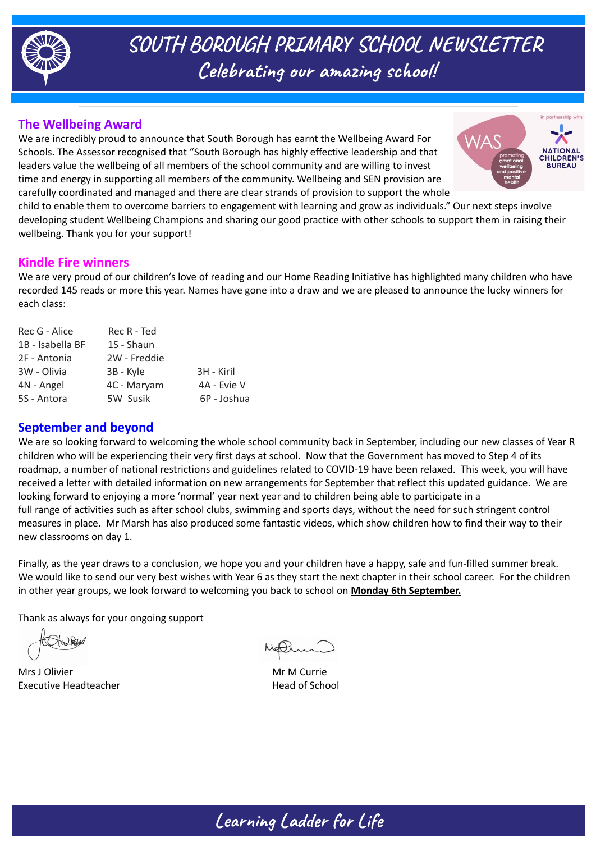

**SOUTH BOROUGH PRIMARY SCHOOL NEWSLETTER Celebrating our amazing school!**

### **The Wellbeing Award**

We are incredibly proud to announce that South Borough has earnt the Wellbeing Award For Schools. The Assessor recognised that "South Borough has highly effective leadership and that leaders value the wellbeing of all members of the school community and are willing to invest time and energy in supporting all members of the community. Wellbeing and SEN provision are carefully coordinated and managed and there are clear strands of provision to support the whole



child to enable them to overcome barriers to engagement with learning and grow as individuals." Our next steps involve developing student Wellbeing Champions and sharing our good practice with other schools to support them in raising their wellbeing. Thank you for your support!

#### **Kindle Fire winners**

We are very proud of our children's love of reading and our Home Reading Initiative has highlighted many children who have recorded 145 reads or more this year. Names have gone into a draw and we are pleased to announce the lucky winners for each class:

| Rec R - Ted  |             |
|--------------|-------------|
| 1S - Shaun   |             |
| 2W - Freddie |             |
| 3B - Kyle    | 3H - Kiril  |
| 4C - Maryam  | 4A - Evie V |
| 5W Susik     | 6P - Joshua |
|              |             |

### **September and beyond**

We are so looking forward to welcoming the whole school community back in September, including our new classes of Year R children who will be experiencing their very first days at school. Now that the Government has moved to Step 4 of its roadmap, a number of national restrictions and guidelines related to COVID-19 have been relaxed. This week, you will have received a letter with detailed information on new arrangements for September that reflect this updated guidance. We are looking forward to enjoying a more 'normal' year next year and to children being able to participate in a full range of activities such as after school clubs, swimming and sports days, without the need for such stringent control measures in place. Mr Marsh has also produced some fantastic videos, which show children how to find their way to their new classrooms on day 1.

Finally, as the year draws to a conclusion, we hope you and your children have a happy, safe and fun-filled summer break. We would like to send our very best wishes with Year 6 as they start the next chapter in their school career. For the children in other year groups, we look forward to welcoming you back to school on **Monday 6th September.**

Thank as always for your ongoing support

Mrs J Olivier Material Annual Mrs Mrs Museum Mrs Museum Mrs Museum Mrs Museum Mrs Museum Mrs Museum Mrs Museum Executive Headteacher **Head of School**